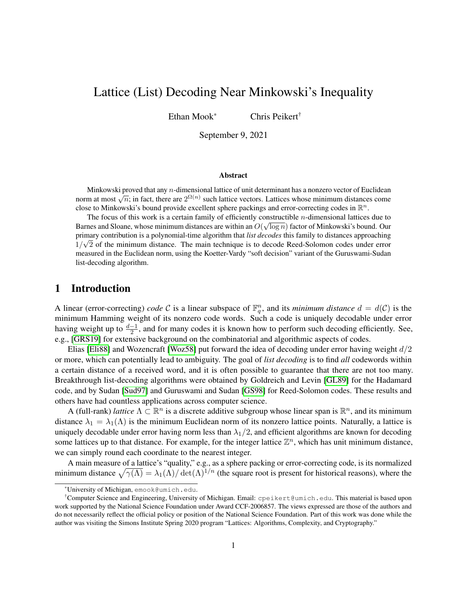# Lattice (List) Decoding Near Minkowski's Inequality

Ethan Mook\* Chris Peikert†

September 9, 2021

#### Abstract

Minkowski proved that any n-dimensional lattice of unit determinant has a nonzero vector of Euclidean NIIIKOWSKI proved that any *n*-dimensional fattice of thirt determinant has a holizero vector of Euclidean norm at most  $\sqrt{n}$ ; in fact, there are  $2^{\Omega(n)}$  such lattice vectors. Lattices whose minimum distances come close to Minkowski's bound provide excellent sphere packings and error-correcting codes in  $\mathbb{R}^n$ .

The focus of this work is a certain family of efficiently constructible *n*-dimensional lattices due to  $\frac{1}{2}$ Barnes and Sloane, whose minimum distances are within an  $O(\sqrt{\log n})$  factor of Minkowski's bound. Our primary contribution is a polynomial-time algorithm that *list decodes* this family to distances approaching  $1/\sqrt{2}$  of the minimum distance. The main technique is to decode Reed-Solomon codes under error measured in the Euclidean norm, using the Koetter-Vardy "soft decision" variant of the Guruswami-Sudan list-decoding algorithm.

# 1 Introduction

A linear (error-correcting) *code* C is a linear subspace of  $\mathbb{F}_q^n$ , and its *minimum distance*  $d = d(\mathcal{C})$  is the minimum Hamming weight of its nonzero code words. Such a code is uniquely decodable under error having weight up to  $\frac{d-1}{2}$ , and for many codes it is known how to perform such decoding efficiently. See, e.g., [\[GRS19\]](#page-12-0) for extensive background on the combinatorial and algorithmic aspects of codes.

Elias [\[Eli88\]](#page-12-1) and Wozencraft [\[Woz58\]](#page-13-0) put forward the idea of decoding under error having weight  $d/2$ or more, which can potentially lead to ambiguity. The goal of *list decoding* is to find *all* codewords within a certain distance of a received word, and it is often possible to guarantee that there are not too many. Breakthrough list-decoding algorithms were obtained by Goldreich and Levin [\[GL89\]](#page-12-2) for the Hadamard code, and by Sudan [\[Sud97\]](#page-13-1) and Guruswami and Sudan [\[GS98\]](#page-12-3) for Reed-Solomon codes. These results and others have had countless applications across computer science.

A (full-rank) *lattice*  $\Lambda \subset \mathbb{R}^n$  is a discrete additive subgroup whose linear span is  $\mathbb{R}^n$ , and its minimum distance  $\lambda_1 = \lambda_1(\Lambda)$  is the minimum Euclidean norm of its nonzero lattice points. Naturally, a lattice is uniquely decodable under error having norm less than  $\lambda_1/2$ , and efficient algorithms are known for decoding some lattices up to that distance. For example, for the integer lattice  $\mathbb{Z}^n$ , which has unit minimum distance, we can simply round each coordinate to the nearest integer.

A main measure of a lattice's "quality," e.g., as a sphere packing or error-correcting code, is its normalized minimum distance  $\sqrt{\gamma(\Lambda)} = \lambda_1(\Lambda)/\det(\Lambda)^{1/n}$  (the square root is present for historical reasons), where the

<sup>\*</sup>University of Michigan, emook@umich.edu.

<sup>†</sup>Computer Science and Engineering, University of Michigan. Email: cpeikert@umich.edu. This material is based upon work supported by the National Science Foundation under Award CCF-2006857. The views expressed are those of the authors and do not necessarily reflect the official policy or position of the National Science Foundation. Part of this work was done while the author was visiting the Simons Institute Spring 2020 program "Lattices: Algorithms, Complexity, and Cryptography."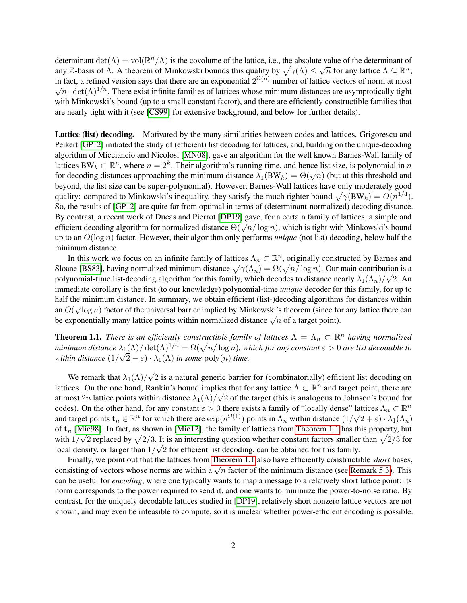determinant det( $\Lambda$ ) = vol( $\mathbb{R}^n/\Lambda$ ) is the covolume of the lattice, i.e., the absolute value of the determinant of any Z-basis of  $\Lambda$ . A theorem of Minkowski bounds this quality by  $\sqrt{\gamma(\Lambda)} \leq \sqrt{n}$  for any lattice  $\Lambda \subseteq \mathbb{R}^n$ ; in fact, a refined version says that there are an exponential  $2^{\Omega(n)}$  number of lattice vectors of norm at most  $\sqrt{n} \cdot \det(\Lambda)^{1/n}$ . There exist infinite families of lattices whose minimum distances are asymptotically tight with Minkowski's bound (up to a small constant factor), and there are efficiently constructible families that are nearly tight with it (see [\[CS99\]](#page-12-4) for extensive background, and below for further details).

Lattice (list) decoding. Motivated by the many similarities between codes and lattices, Grigorescu and Peikert [\[GP12\]](#page-12-5) initiated the study of (efficient) list decoding for lattices, and, building on the unique-decoding algorithm of Micciancio and Nicolosi [\[MN08\]](#page-13-2), gave an algorithm for the well known Barnes-Wall family of lattices BW<sub>k</sub>  $\subset \mathbb{R}^n$ , where  $n = 2^k$ . Their algorithm's running time, and hence list size, is polynomial in n for decoding distances approaching the minimum distance  $\lambda_1(BW_k) = \Theta(\sqrt{n})$  (but at this threshold and for decoding distances approaching the minimum distance  $\lambda_1(BW_k) = \Theta(\sqrt{n})$  (but at this threshold and beyond, the list size can be super-polynomial). However, Barnes-Wall lattices have only moderately good quality: compared to Minkowski's inequality, they satisfy the much tighter bound  $\sqrt{\gamma(BW_k)} = O(n^{1/4})$ . So, the results of [\[GP12\]](#page-12-5) are quite far from optimal in terms of (determinant-normalized) decoding distance. By contrast, a recent work of Ducas and Pierrot [\[DP19\]](#page-12-6) gave, for a certain family of lattices, a simple and By contrast, a fectric work of Ducas and Fierrot [DF19] gave, for a certain failing of fattices, a simple and efficient decoding algorithm for normalized distance  $\Theta(\sqrt{n}/\log n)$ , which is tight with Minkowski's bound up to an O(log n) factor. However, their algorithm only performs *unique* (not list) decoding, below half the minimum distance.

In this work we focus on an infinite family of lattices  $\Lambda_n \subset \mathbb{R}^n$ , originally constructed by Barnes and Sloane [\[BS83\]](#page-12-7), having normalized minimum distance  $\sqrt{\gamma(\Lambda_n)} = \Omega(\sqrt{n/\log n})$ . Our main contribution is a polynomial-time list-decoding algorithm for this family, which decodes to distance nearly  $\lambda_1(\Lambda_n)/\sqrt{2}$ . An immediate corollary is the first (to our knowledge) polynomial-time *unique* decoder for this family, for up to half the minimum distance. In summary, we obtain efficient (list-)decoding algorithms for distances within an  $O(\sqrt{\log n})$  factor of the universal barrier implied by Minkowski's theorem (since for any lattice there can an  $O(\sqrt{\log n})$  factor of the universal barrier implied by Milkowski's theorem (since to be exponentially many lattice points within normalized distance  $\sqrt{n}$  of a target point).

<span id="page-1-0"></span>**Theorem 1.1.** *There is an efficiently constructible family of lattices*  $\Lambda = \Lambda_n \subset \mathbb{R}^n$  *having normalized minimum distance*  $\lambda_1(\Lambda) / \det(\Lambda)^{1/n} = \Omega(\sqrt{n / \log n})$ *, which for any constant*  $\varepsilon > 0$  *are list decodable to within distance*  $(1/\sqrt{2}-\varepsilon) \cdot \lambda_1(\Lambda)$  *in some*  $poly(n)$  *time.* 

We remark that  $\lambda_1(\Lambda)/$ √ 2 is a natural generic barrier for (combinatorially) efficient list decoding on lattices. On the one hand, Rankin's bound implies that for any lattice  $\Lambda \subset \mathbb{R}^n$  and target point, there are at most  $2n$  lattice points within distance  $\lambda_1(\Lambda)/\sqrt{2}$  of the target (this is analogous to Johnson's bound for codes). On the other hand, for any constant  $\varepsilon > 0$  there exists a family of "locally dense" lattices  $\Lambda_n \subset \mathbb{R}^n$ and target points  $\mathbf{t}_n \in \mathbb{R}^n$  for which there are  $\exp(n^{\Omega(1)})$  points in  $\Lambda_n$  within distance  $(1/\sqrt{2} + \varepsilon) \cdot \lambda_1(\Lambda_n)$ of  $t_n$  [\[Mic98\]](#page-13-3). In fact, as shown in [\[Mic12\]](#page-13-4), the family of lattices from [Theorem 1.1](#page-1-0) has this property, but with  $1/\sqrt{2}$  replaced by  $\sqrt{2/3}$ . It is an interesting question whether constant factors smaller than  $\sqrt{2/3}$  for local density, or larger than  $1/\sqrt{2}$  for efficient list decoding, can be obtained for this family.

Finally, we point out that the lattices from [Theorem 1.1](#page-1-0) also have efficiently constructible *short* bases, Thing, we point out that the fattlees from Theorem 1.1 also have emercing constructione short bases.<br>consisting of vectors whose norms are within a  $\sqrt{n}$  factor of the minimum distance (see [Remark 5.3\)](#page-11-0). This can be useful for *encoding*, where one typically wants to map a message to a relatively short lattice point: its norm corresponds to the power required to send it, and one wants to minimize the power-to-noise ratio. By contrast, for the uniquely decodable lattices studied in [\[DP19\]](#page-12-6), relatively short nonzero lattice vectors are not known, and may even be infeasible to compute, so it is unclear whether power-efficient encoding is possible.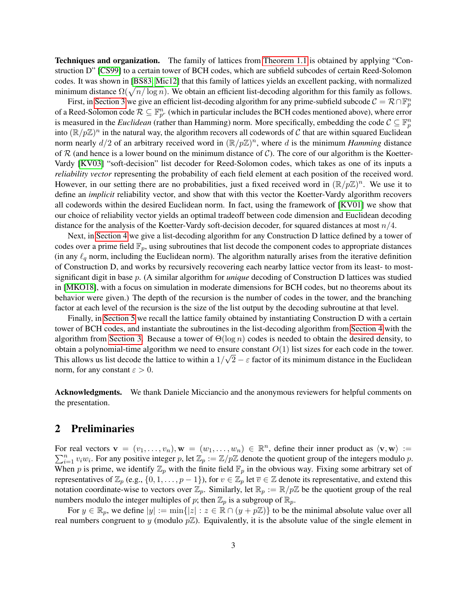Techniques and organization. The family of lattices from [Theorem 1.1](#page-1-0) is obtained by applying "Construction D" [\[CS99\]](#page-12-4) to a certain tower of BCH codes, which are subfield subcodes of certain Reed-Solomon codes. It was shown in [\[BS83,](#page-12-7) [Mic12\]](#page-13-4) that this family of lattices yields an excellent packing, with normalized minimum distance  $\Omega(\sqrt{n/\log n})$ . We obtain an efficient list-decoding algorithm for this family as follows.

First, in [Section 3](#page-3-0) we give an efficient list-decoding algorithm for any prime-subfield subcode  $C = \mathcal{R} \cap \mathbb{F}_p^n$ of a Reed-Solomon code  $\mathcal{R} \subseteq \mathbb{F}_{p^r}^n$  (which in particular includes the BCH codes mentioned above), where error is measured in the *Euclidean* (rather than Hamming) norm. More specifically, embedding the code  $C \subseteq \mathbb{F}_p^n$ into  $(\mathbb{R}/p\mathbb{Z})^n$  in the natural way, the algorithm recovers all codewords of C that are within squared Euclidean norm nearly  $d/2$  of an arbitrary received word in  $(\mathbb{R}/p\mathbb{Z})^n$ , where d is the minimum *Hamming* distance of R (and hence is a lower bound on the minimum distance of C). The core of our algorithm is the Koetter-Vardy [\[KV03\]](#page-13-5) "soft-decision" list decoder for Reed-Solomon codes, which takes as one of its inputs a *reliability vector* representing the probability of each field element at each position of the received word. However, in our setting there are no probabilities, just a fixed received word in  $(\mathbb{R}/p\mathbb{Z})^n$ . We use it to define an *implicit* reliability vector, and show that with this vector the Koetter-Vardy algorithm recovers all codewords within the desired Euclidean norm. In fact, using the framework of [\[KV01\]](#page-13-6) we show that our choice of reliability vector yields an optimal tradeoff between code dimension and Euclidean decoding distance for the analysis of the Koetter-Vardy soft-decision decoder, for squared distances at most  $n/4$ .

Next, in [Section 4](#page-8-0) we give a list-decoding algorithm for any Construction D lattice defined by a tower of codes over a prime field  $\mathbb{F}_p$ , using subroutines that list decode the component codes to appropriate distances (in any  $\ell_q$  norm, including the Euclidean norm). The algorithm naturally arises from the iterative definition of Construction D, and works by recursively recovering each nearby lattice vector from its least- to mostsignificant digit in base p. (A similar algorithm for *unique* decoding of Construction D lattices was studied in [\[MKO18\]](#page-13-7), with a focus on simulation in moderate dimensions for BCH codes, but no theorems about its behavior were given.) The depth of the recursion is the number of codes in the tower, and the branching factor at each level of the recursion is the size of the list output by the decoding subroutine at that level.

Finally, in [Section 5](#page-10-0) we recall the lattice family obtained by instantiating Construction D with a certain tower of BCH codes, and instantiate the subroutines in the list-decoding algorithm from [Section 4](#page-8-0) with the algorithm from [Section 3.](#page-3-0) Because a tower of  $\Theta(\log n)$  codes is needed to obtain the desired density, to obtain a polynomial-time algorithm we need to ensure constant  $O(1)$  list sizes for each code in the tower. This allows us list decode the lattice to within a  $1/\sqrt{2} - \varepsilon$  factor of its minimum distance in the Euclidean norm, for any constant  $\varepsilon > 0$ .

Acknowledgments. We thank Daniele Micciancio and the anonymous reviewers for helpful comments on the presentation.

## <span id="page-2-0"></span>2 Preliminaries

For real vectors  $\mathbf{v} = (v_1, \dots, v_n), \mathbf{w} = (w_1, \dots, w_n) \in \mathbb{R}^n$ , define their inner product as  $\langle \mathbf{v}, \mathbf{w} \rangle :=$  $\sum_{i=1}^n v_iw_i$ . For any positive integer p, let  $\mathbb{Z}_p := \mathbb{Z}/p\mathbb{Z}$  denote the quotient group of the integers modulo p. When p is prime, we identify  $\mathbb{Z}_p$  with the finite field  $\mathbb{F}_p$  in the obvious way. Fixing some arbitrary set of representatives of  $\mathbb{Z}_p$  (e.g.,  $\{0, 1, \ldots, p-1\}$ ), for  $v \in \mathbb{Z}_p$  let  $\overline{v} \in \mathbb{Z}$  denote its representative, and extend this notation coordinate-wise to vectors over  $\mathbb{Z}_p$ . Similarly, let  $\mathbb{R}_p := \mathbb{R}/p\mathbb{Z}$  be the quotient group of the real numbers modulo the integer multiples of p; then  $\mathbb{Z}_p$  is a subgroup of  $\mathbb{R}_p$ .

For  $y \in \mathbb{R}_p$ , we define  $|y| := \min\{|z| : z \in \mathbb{R} \cap (y + p\mathbb{Z})\}$  to be the minimal absolute value over all real numbers congruent to y (modulo  $p\mathbb{Z}$ ). Equivalently, it is the absolute value of the single element in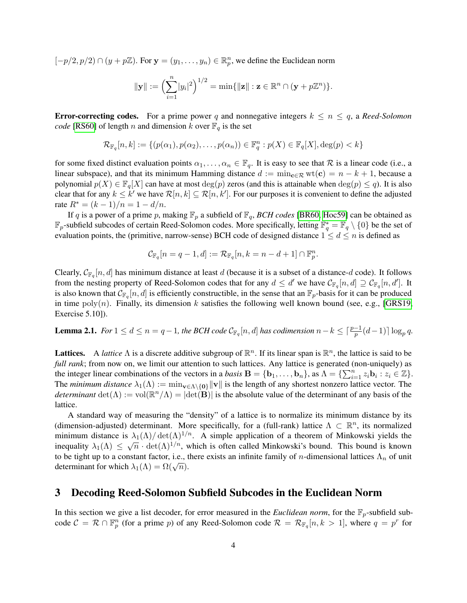$[-p/2, p/2) \cap (y + p\mathbb{Z})$ . For  $\mathbf{y} = (y_1, \dots, y_n) \in \mathbb{R}_p^n$ , we define the Euclidean norm

$$
\|\mathbf{y}\| := \left(\sum_{i=1}^n |y_i|^2\right)^{1/2} = \min\{\|\mathbf{z}\| : \mathbf{z} \in \mathbb{R}^n \cap (\mathbf{y} + p\mathbb{Z}^n)\}.
$$

**Error-correcting codes.** For a prime power q and nonnegative integers  $k \leq n \leq q$ , a *Reed-Solomon code* [\[RS60\]](#page-13-8) of length *n* and dimension *k* over  $\mathbb{F}_q$  is the set

$$
\mathcal{R}_{\mathbb{F}_q}[n,k] := \{ (p(\alpha_1), p(\alpha_2), \dots, p(\alpha_n)) \in \mathbb{F}_q^n : p(X) \in \mathbb{F}_q[X], \deg(p) < k \}
$$

for some fixed distinct evaluation points  $\alpha_1, \ldots, \alpha_n \in \mathbb{F}_q$ . It is easy to see that R is a linear code (i.e., a linear subspace), and that its minimum Hamming distance  $d := \min_{\mathbf{c} \in \mathcal{R}} \mathrm{wt}(\mathbf{c}) = n - k + 1$ , because a polynomial  $p(X) \in \mathbb{F}_q[X]$  can have at most  $\deg(p)$  zeros (and this is attainable when  $\deg(p) \leq q$ ). It is also clear that for any  $k \leq k'$  we have  $\mathcal{R}[n,k] \subseteq \mathcal{R}[n,k']$ . For our purposes it is convenient to define the adjusted rate  $R^* = (k-1)/n = 1 - d/n$ .

If q is a power of a prime p, making  $\mathbb{F}_p$  a subfield of  $\mathbb{F}_q$ , *BCH codes* [\[BR60,](#page-12-8) [Hoc59\]](#page-12-9) can be obtained as  $\mathbb{F}_p$ -subfield subcodes of certain Reed-Solomon codes. More specifically, letting  $\mathbb{F}_q^* = \mathbb{F}_q \setminus \{0\}$  be the set of evaluation points, the (primitive, narrow-sense) BCH code of designed distance  $1 \le d \le n$  is defined as

$$
\mathcal{C}_{\mathbb{F}_q}[n=q-1,d]:=\mathcal{R}_{\mathbb{F}_q}[n,k=n-d+1]\cap\mathbb{F}_p^n.
$$

Clearly,  $C_{\mathbb{F}_q}[n,d]$  has minimum distance at least d (because it is a subset of a distance-d code). It follows from the nesting property of Reed-Solomon codes that for any  $d \le d'$  we have  $\mathcal{C}_{\mathbb{F}_q}[n,d] \supseteq \mathcal{C}_{\mathbb{F}_q}[n,d']$ . It is also known that  $\mathcal{C}_{\mathbb{F}_q}[n,d]$  is efficiently constructible, in the sense that an  $\mathbb{F}_p$ -basis for it can be produced in time  $poly(n)$ . Finally, its dimension k satisfies the following well known bound (see, e.g., [\[GRS19,](#page-12-0) Exercise 5.10]).

<span id="page-3-1"></span>**Lemma 2.1.** For  $1 \le d \le n = q-1$ , the BCH code  $\mathcal{C}_{\mathbb{F}_q}[n,d]$  has codimension  $n-k \leq \lceil \frac{p-1}{p}(d-1) \rceil \log_p q$ .

Lattices. A *lattice*  $\Lambda$  is a discrete additive subgroup of  $\mathbb{R}^n$ . If its linear span is  $\mathbb{R}^n$ , the lattice is said to be *full rank*; from now on, we limit our attention to such lattices. Any lattice is generated (non-uniquely) as the integer linear combinations of the vectors in a *basis*  $\mathbf{B} = \{\mathbf{b}_1, \dots, \mathbf{b}_n\}$ , as  $\Lambda = \{\sum_{i=1}^n z_i \mathbf{b}_i : z_i \in \mathbb{Z}\}$ . The *minimum distance*  $\lambda_1(\Lambda) := \min_{\mathbf{v} \in \Lambda \setminus \{0\}} \|\mathbf{v}\|$  is the length of any shortest nonzero lattice vector. The *determinant*  $det(\Lambda) := vol(\mathbb{R}^n/\Lambda) = |det(\mathbf{B})|$  is the absolute value of the determinant of any basis of the lattice.

A standard way of measuring the "density" of a lattice is to normalize its minimum distance by its (dimension-adjusted) determinant. More specifically, for a (full-rank) lattice  $\Lambda \subset \mathbb{R}^n$ , its normalized minimum distance is  $\lambda_1(\Lambda)/\det(\Lambda)^{1/n}$ . A simple application of a theorem of Minkowski yields the infinitum distance is  $\lambda_1(\Lambda)$  det( $\Lambda$ )<sup>1</sup>. A simple application of a theorem of Minkowski yields the inequality  $\lambda_1(\Lambda) \leq \sqrt{n} \cdot \det(\Lambda)^{1/n}$ , which is often called Minkowski's bound. This bound is known to be tight up to a constant factor, i.e., there exists an infinite family of n-dimensional lattices  $\Lambda_n$  of unit determinant for which  $\lambda_1(\Lambda) = \Omega(\sqrt{n}).$ 

### <span id="page-3-0"></span>3 Decoding Reed-Solomon Subfield Subcodes in the Euclidean Norm

In this section we give a list decoder, for error measured in the *Euclidean norm*, for the  $\mathbb{F}_p$ -subfield subcode  $C = \mathcal{R} \cap \mathbb{F}_p^n$  (for a prime p) of any Reed-Solomon code  $\mathcal{R} = \mathcal{R}_{\mathbb{F}_q}[n, k > 1]$ , where  $q = p^r$  for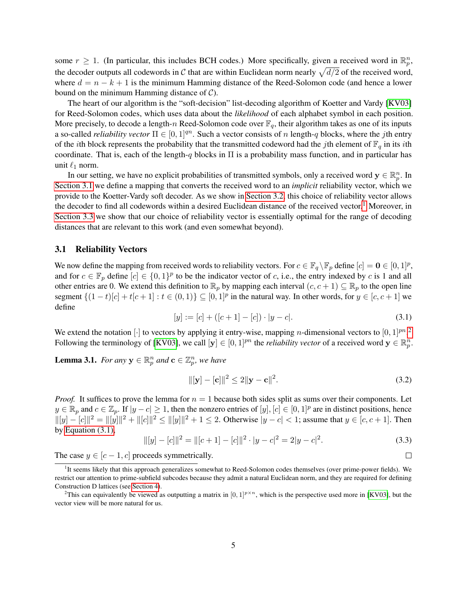some  $r \ge 1$ . (In particular, this includes BCH codes.) More specifically, given a received word in  $\mathbb{R}_p^n$ , the decoder outputs all codewords in C that are within Euclidean norm nearly  $\sqrt{d/2}$  of the received word, where  $d = n - k + 1$  is the minimum Hamming distance of the Reed-Solomon code (and hence a lower bound on the minimum Hamming distance of  $C$ ).

The heart of our algorithm is the "soft-decision" list-decoding algorithm of Koetter and Vardy [\[KV03\]](#page-13-5) for Reed-Solomon codes, which uses data about the *likelihood* of each alphabet symbol in each position. More precisely, to decode a length-n Reed-Solomon code over  $\mathbb{F}_q$ , their algorithm takes as one of its inputs a so-called *reliability vector*  $\Pi \in [0, 1]^{qn}$ . Such a vector consists of n length-q blocks, where the jth entry of the *i*th block represents the probability that the transmitted codeword had the *j*th element of  $\mathbb{F}_q$  in its *i*th coordinate. That is, each of the length-q blocks in  $\Pi$  is a probability mass function, and in particular has unit  $\ell_1$  norm.

In our setting, we have no explicit probabilities of transmitted symbols, only a received word  $y \in \mathbb{R}_p^n$ . In [Section 3.1](#page-4-0) we define a mapping that converts the received word to an *implicit* reliability vector, which we provide to the Koetter-Vardy soft decoder. As we show in [Section 3.2,](#page-5-0) this choice of reliability vector allows the decoder to find all codewords within a desired Euclidean distance of the received vector.<sup>[1](#page-4-1)</sup> Moreover, in [Section 3.3](#page-7-0) we show that our choice of reliability vector is essentially optimal for the range of decoding distances that are relevant to this work (and even somewhat beyond).

#### <span id="page-4-0"></span>3.1 Reliability Vectors

We now define the mapping from received words to reliability vectors. For  $c \in \mathbb{F}_q \setminus \mathbb{F}_p$  define  $[c] = \mathbf{0} \in [0, 1]^p$ , and for  $c \in \mathbb{F}_p$  define  $[c] \in \{0,1\}^p$  to be the indicator vector of c, i.e., the entry indexed by c is 1 and all other entries are 0. We extend this definition to  $\mathbb{R}_p$  by mapping each interval  $(c, c + 1) \subseteq \mathbb{R}_p$  to the open line segment  $\{(1-t)[c]+t[c+1]: t \in (0,1)\} \subseteq [0,1]^p$  in the natural way. In other words, for  $y \in [c, c+1]$  we define

<span id="page-4-3"></span>
$$
[y] := [c] + ([c+1] - [c]) \cdot |y - c|. \tag{3.1}
$$

We extend the notation  $[\cdot]$  to vectors by applying it entry-wise, mapping *n*-dimensional vectors to  $[0,1]^{pn}$ .<sup>[2](#page-4-2)</sup> Following the terminology of [\[KV03\]](#page-13-5), we call  $[\mathbf{y}] \in [0, 1]^{pn}$  the *reliability vector* of a received word  $\mathbf{y} \in \mathbb{R}_{p}^{n}$ .

<span id="page-4-4"></span>**Lemma 3.1.** For any  $y \in \mathbb{R}_p^n$  and  $\mathbf{c} \in \mathbb{Z}_p^n$ , we have

$$
\|[\mathbf{y}] - [\mathbf{c}]\|^2 \le 2\|\mathbf{y} - \mathbf{c}\|^2. \tag{3.2}
$$

 $\Box$ 

*Proof.* It suffices to prove the lemma for  $n = 1$  because both sides split as sums over their components. Let  $y \in \mathbb{R}_p$  and  $c \in \mathbb{Z}_p$ . If  $|y - c| \ge 1$ , then the nonzero entries of  $[y]$ ,  $[c] \in [0, 1]^p$  are in distinct positions, hence  $||[y] - [c]||^2 = ||[y]||^2 + ||[c]||^2 \le ||[y]||^2 + 1 \le 2$ . Otherwise  $|y - c| < 1$ ; assume that  $y \in [c, c + 1]$ . Then by [Equation \(3.1\),](#page-4-3)

$$
\| [y] - [c] \|^2 = \| [c+1] - [c] \|^2 \cdot |y - c|^2 = 2|y - c|^2. \tag{3.3}
$$

The case  $y \in [c-1, c]$  proceeds symmetrically.

<span id="page-4-1"></span><sup>&</sup>lt;sup>1</sup>It seems likely that this approach generalizes somewhat to Reed-Solomon codes themselves (over prime-power fields). We restrict our attention to prime-subfield subcodes because they admit a natural Euclidean norm, and they are required for defining Construction D lattices (see [Section 4\)](#page-8-0).

<span id="page-4-2"></span><sup>&</sup>lt;sup>2</sup>This can equivalently be viewed as outputting a matrix in  $[0,1]^{p \times n}$ , which is the perspective used more in [\[KV03\]](#page-13-5), but the vector view will be more natural for us.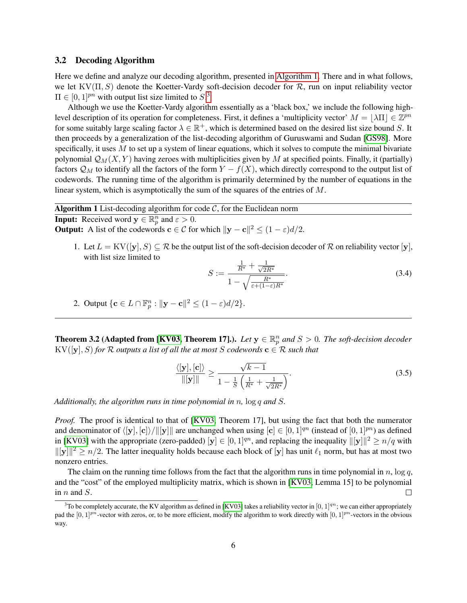#### <span id="page-5-0"></span>3.2 Decoding Algorithm

Here we define and analyze our decoding algorithm, presented in [Algorithm 1.](#page-5-1) There and in what follows, we let  $KV(\Pi, S)$  denote the Koetter-Vardy soft-decision decoder for  $\mathcal{R}$ , run on input reliability vector  $\Pi \in [0,1]^{pn}$  with output list size limited to  $S^3$  $S^3$ .

Although we use the Koetter-Vardy algorithm essentially as a 'black box,' we include the following highlevel description of its operation for completeness. First, it defines a 'multiplicity vector'  $M = |\lambda \Pi| \in \mathbb{Z}^{pn}$ for some suitably large scaling factor  $\lambda \in \mathbb{R}^+$ , which is determined based on the desired list size bound S. It then proceeds by a generalization of the list-decoding algorithm of Guruswami and Sudan [\[GS98\]](#page-12-3). More specifically, it uses  $M$  to set up a system of linear equations, which it solves to compute the minimal bivariate polynomial  $\mathcal{Q}_M(X, Y)$  having zeroes with multiplicities given by M at specified points. Finally, it (partially) factors  $\mathcal{Q}_M$  to identify all the factors of the form  $Y - f(X)$ , which directly correspond to the output list of codewords. The running time of the algorithm is primarily determined by the number of equations in the linear system, which is asymptotically the sum of the squares of the entries of M.

<span id="page-5-1"></span>**Algorithm 1** List-decoding algorithm for code  $C$ , for the Euclidean norm **Input:** Received word  $y \in \mathbb{R}_p^n$  and  $\varepsilon > 0$ . **Output:** A list of the codewords  $\mathbf{c} \in \mathcal{C}$  for which  $\|\mathbf{y} - \mathbf{c}\|^2 \leq (1 - \varepsilon)d/2$ .

1. Let  $L = KV([y], S) \subseteq \mathcal{R}$  be the output list of the soft-decision decoder of  $\mathcal{R}$  on reliability vector  $[y]$ , with list size limited to

<span id="page-5-4"></span>
$$
S := \frac{\frac{1}{R^*} + \frac{1}{\sqrt{2R^*}}}{1 - \sqrt{\frac{R^*}{\varepsilon + (1 - \varepsilon)R^*}}}.
$$
\n(3.4)

2. Output  $\{\mathbf{c} \in L \cap \mathbb{F}_p^n : ||\mathbf{y}-\mathbf{c}||^2 \leq (1-\varepsilon)d/2\}.$ 

<span id="page-5-3"></span>**Theorem 3.2 (Adapted from [\[KV03,](#page-13-5) Theorem 17].).** Let  $y \in \mathbb{R}_p^n$  and  $S > 0$ . The soft-decision decoder  $KV([y], S)$  *for*  $R$  *outputs a list of all the at most*  $S$  *codewords*  $c \in R$  *such that* 

$$
\frac{\langle [\mathbf{y}], [\mathbf{c}] \rangle}{\|[\mathbf{y}]\|} \ge \frac{\sqrt{k-1}}{1 - \frac{1}{S} \left( \frac{1}{R^*} + \frac{1}{\sqrt{2R^*}} \right)}.
$$
\n(3.5)

*Additionally, the algorithm runs in time polynomial in* n*,* log q *and* S*.*

*Proof.* The proof is identical to that of [\[KV03,](#page-13-5) Theorem 17], but using the fact that both the numerator and denominator of  $\langle |y|, [c]\rangle/\|y\|$  are unchanged when using  $[c] \in [0, 1]^{qn}$  (instead of  $[0, 1]^{pn}$ ) as defined in [\[KV03\]](#page-13-5) with the appropriate (zero-padded)  $[y] \in [0, 1]^{qn}$ , and replacing the inequality  $\|[y]\|^2 \ge n/q$  with  $||[y]||^2 \ge n/2$ . The latter inequality holds because each block of  $[y]$  has unit  $\ell_1$  norm, but has at most two nonzero entries.

The claim on the running time follows from the fact that the algorithm runs in time polynomial in  $n$ ,  $\log q$ , and the "cost" of the employed multiplicity matrix, which is shown in [\[KV03,](#page-13-5) Lemma 15] to be polynomial in  $n$  and  $S$ .

<span id="page-5-2"></span><sup>&</sup>lt;sup>3</sup>To be completely accurate, the KV algorithm as defined in [\[KV03\]](#page-13-5) takes a reliability vector in [0, 1]<sup>qn</sup>; we can either appropriately pad the  $[0, 1]^{pn}$ -vector with zeros, or, to be more efficient, modify the algorithm to work directly with  $[0, 1]^{pn}$ -vectors in the obvious way.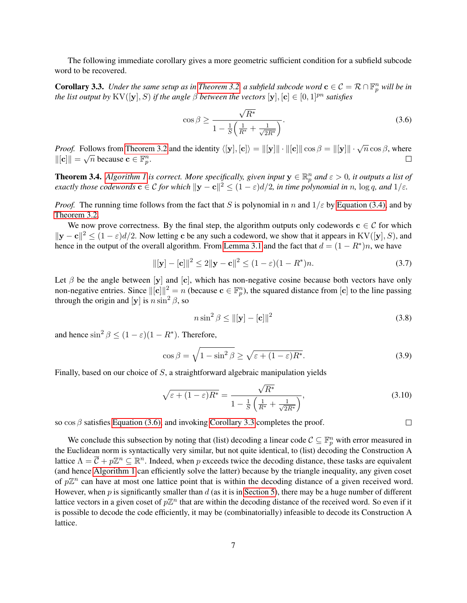The following immediate corollary gives a more geometric sufficient condition for a subfield subcode word to be recovered.

<span id="page-6-1"></span>**Corollary 3.3.** *Under the same setup as in [Theorem 3.2,](#page-5-3) a subfield subcode word*  $c \in C = R \cap \mathbb{F}_p^n$  *will be in the list output by* KV([y], S) *if the angle*  $\beta$  *between the vectors* [y], [c]  $\in [0, 1]^{pn}$  *satisfies* 

<span id="page-6-0"></span>
$$
\cos \beta \ge \frac{\sqrt{R^*}}{1 - \frac{1}{S} \left( \frac{1}{R^*} + \frac{1}{\sqrt{2R^*}} \right)}.
$$
\n(3.6)

*Proof.* Follows from [Theorem 3.2](#page-5-3) and the identity  $\langle [\mathbf{y}], [\mathbf{c}] \rangle = ||[\mathbf{y}]|| \cdot ||[\mathbf{c}]|| \cos \beta = ||[\mathbf{y}]|| \cdot \sqrt{n} \cos \beta$ , where  $\|[c]\| = \sqrt{n}$  because  $c \in \mathbb{F}_p^n$ .  $\Box$ 

<span id="page-6-2"></span>**Theorem 3.4.** [Algorithm 1](#page-5-1) is correct. More specifically, given input  $y \in \mathbb{R}_p^n$  and  $\varepsilon > 0$ , it outputs a list of *exactly those codewords*  $\mathbf{c} \in \mathcal{C}$  *for which*  $\|\mathbf{y} - \mathbf{c}\|^2 \leq (1 - \varepsilon)d/2$ *, in time polynomial in* n, log q, and  $1/\varepsilon$ *.* 

*Proof.* The running time follows from the fact that S is polynomial in n and  $1/\varepsilon$  by [Equation \(3.4\),](#page-5-4) and by [Theorem 3.2.](#page-5-3)

We now prove correctness. By the final step, the algorithm outputs only codewords  $c \in C$  for which  $||\mathbf{y}-\mathbf{c}||^2 \le (1-\varepsilon)d/2$ . Now letting c be any such a codeword, we show that it appears in KV([y], S), and hence in the output of the overall algorithm. From [Lemma 3.1](#page-4-4) and the fact that  $d = (1 - R^*)n$ , we have

$$
\|[\mathbf{y}] - [\mathbf{c}]\|^2 \le 2\|\mathbf{y} - \mathbf{c}\|^2 \le (1 - \varepsilon)(1 - R^*)n. \tag{3.7}
$$

Let  $\beta$  be the angle between [y] and [c], which has non-negative cosine because both vectors have only non-negative entries. Since  $\|[c]\|^2 = n$  (because  $c \in \mathbb{F}_p^n$ ), the squared distance from  $[c]$  to the line passing through the origin and [y] is  $n \sin^2 \beta$ , so

$$
n\sin^2\beta \le ||[\mathbf{y}] - [\mathbf{c}]||^2 \tag{3.8}
$$

and hence  $\sin^2 \beta \le (1 - \varepsilon)(1 - R^*)$ . Therefore,

$$
\cos \beta = \sqrt{1 - \sin^2 \beta} \ge \sqrt{\varepsilon + (1 - \varepsilon)R^*}.
$$
\n(3.9)

Finally, based on our choice of S, a straightforward algebraic manipulation yields

$$
\sqrt{\varepsilon + (1 - \varepsilon)R^*} = \frac{\sqrt{R^*}}{1 - \frac{1}{S} \left(\frac{1}{R^*} + \frac{1}{\sqrt{2R^*}}\right)},
$$
\n(3.10)

so  $\cos \beta$  satisfies [Equation \(3.6\),](#page-6-0) and invoking [Corollary 3.3](#page-6-1) completes the proof.

 $\Box$ 

We conclude this subsection by noting that (list) decoding a linear code  $\mathcal{C} \subseteq \mathbb{F}_p^n$  with error measured in the Euclidean norm is syntactically very similar, but not quite identical, to (list) decoding the Construction A lattice  $\Lambda = \overline{C} + p\mathbb{Z}^n \subseteq \mathbb{R}^n$ . Indeed, when p exceeds twice the decoding distance, these tasks are equivalent (and hence [Algorithm 1](#page-5-1) can efficiently solve the latter) because by the triangle inequality, any given coset of  $p\mathbb{Z}^n$  can have at most one lattice point that is within the decoding distance of a given received word. However, when p is significantly smaller than  $d$  (as it is in [Section 5\)](#page-10-0), there may be a huge number of different lattice vectors in a given coset of  $p\mathbb{Z}^n$  that are within the decoding distance of the received word. So even if it is possible to decode the code efficiently, it may be (combinatorially) infeasible to decode its Construction A lattice.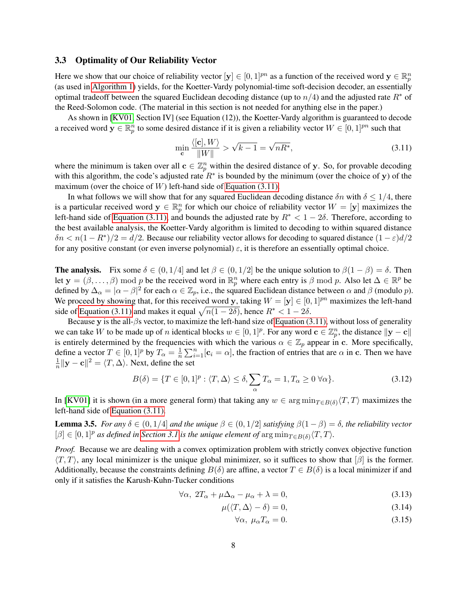### <span id="page-7-0"></span>3.3 Optimality of Our Reliability Vector

Here we show that our choice of reliability vector  $[\mathbf{y}] \in [0, 1]^{pn}$  as a function of the received word  $\mathbf{y} \in \mathbb{R}_p^n$ (as used in [Algorithm 1\)](#page-5-1) yields, for the Koetter-Vardy polynomial-time soft-decision decoder, an essentially optimal tradeoff between the squared Euclidean decoding distance (up to  $n/4$ ) and the adjusted rate  $R^*$  of the Reed-Solomon code. (The material in this section is not needed for anything else in the paper.)

As shown in [\[KV01,](#page-13-6) Section IV] (see Equation (12)), the Koetter-Vardy algorithm is guaranteed to decode a received word  $y \in \mathbb{R}_p^n$  to some desired distance if it is given a reliability vector  $W \in [0,1]^{pn}$  such that

<span id="page-7-1"></span>
$$
\min_{\mathbf{c}} \frac{\langle [\mathbf{c}], W \rangle}{\|W\|} > \sqrt{k-1} = \sqrt{nR^*},\tag{3.11}
$$

where the minimum is taken over all  $c \in \mathbb{Z}_p^n$  within the desired distance of y. So, for provable decoding with this algorithm, the code's adjusted rate  $R^*$  is bounded by the minimum (over the choice of y) of the maximum (over the choice of  $W$ ) left-hand side of [Equation \(3.11\).](#page-7-1)

In what follows we will show that for any squared Euclidean decoding distance  $\delta n$  with  $\delta \leq 1/4$ , there is a particular received word  $y \in \mathbb{R}_p^n$  for which our choice of reliability vector  $W = [\mathbf{y}]$  maximizes the left-hand side of [Equation \(3.11\),](#page-7-1) and bounds the adjusted rate by  $R^* < 1 - 2\delta$ . Therefore, according to the best available analysis, the Koetter-Vardy algorithm is limited to decoding to within squared distance  $\delta n < n(1 - R^*)/2 = d/2$ . Because our reliability vector allows for decoding to squared distance  $(1 - \varepsilon)d/2$ for any positive constant (or even inverse polynomial)  $\varepsilon$ , it is therefore an essentially optimal choice.

**The analysis.** Fix some  $\delta \in (0, 1/4]$  and let  $\beta \in (0, 1/2]$  be the unique solution to  $\beta(1 - \beta) = \delta$ . Then let  $\mathbf{y} = (\beta, \dots, \beta) \mod p$  be the received word in  $\mathbb{R}_p^n$  where each entry is  $\beta \mod p$ . Also let  $\Delta \in \mathbb{R}^p$  be defined by  $\Delta_{\alpha} = |\alpha - \beta|^2$  for each  $\alpha \in \mathbb{Z}_p$ , i.e., the squared Euclidean distance between  $\alpha$  and  $\beta$  (modulo  $p$ ). We proceed by showing that, for this received word y, taking  $W = [\mathbf{y}] \in [0, 1]^{pn}$  maximizes the left-hand side of [Equation \(3.11\)](#page-7-1) and makes it equal  $\sqrt{n(1 - 2\delta)}$ , hence  $R^* < 1 - 2\delta$ .

Because y is the all-βs vector, to maximize the left-hand size of [Equation \(3.11\),](#page-7-1) without loss of generality we can take W to be made up of n identical blocks  $w \in [0,1]^p$ . For any word  $\mathbf{c} \in \mathbb{Z}_p^n$ , the distance  $\|\mathbf{y}-\mathbf{c}\|$ is entirely determined by the frequencies with which the various  $\alpha \in \mathbb{Z}_p$  appear in c. More specifically, define a vector  $T \in [0,1]^p$  by  $T_\alpha = \frac{1}{n}$  $\frac{1}{n}\sum_{i=1}^{n}[\mathbf{c}_i = \alpha]$ , the fraction of entries that are  $\alpha$  in c. Then we have 1  $\frac{1}{n} \|\mathbf{y}-\mathbf{c}\|^2 = \langle T, \Delta \rangle$ . Next, define the set

$$
B(\delta) = \{ T \in [0,1]^p : \langle T, \Delta \rangle \le \delta, \sum_{\alpha} T_{\alpha} = 1, T_{\alpha} \ge 0 \,\forall \alpha \}. \tag{3.12}
$$

In [\[KV01\]](#page-13-6) it is shown (in a more general form) that taking any  $w \in \arg \min_{T \in B(\delta)} \langle T, T \rangle$  maximizes the left-hand side of [Equation \(3.11\).](#page-7-1)

**Lemma 3.5.** *For any*  $\delta \in (0, 1/4]$  *and the unique*  $\beta \in (0, 1/2]$  *satisfying*  $\beta(1 - \beta) = \delta$ *, the reliability vector*  $[\beta] \in [0, 1]^p$  *as defined in [Section 3.1](#page-4-0) is the unique element of*  $\arg \min_{T \in B(\delta)} \langle T, T \rangle$ *.* 

*Proof.* Because we are dealing with a convex optimization problem with strictly convex objective function  $\langle T, T \rangle$ , any local minimizer is the unique global minimizer, so it suffices to show that  $[\beta]$  is the former. Additionally, because the constraints defining  $B(\delta)$  are affine, a vector  $T \in B(\delta)$  is a local minimizer if and only if it satisfies the Karush-Kuhn-Tucker conditions

$$
\forall \alpha, \ 2T_{\alpha} + \mu \Delta_{\alpha} - \mu_{\alpha} + \lambda = 0, \tag{3.13}
$$

$$
\mu(\langle T, \Delta \rangle - \delta) = 0,\tag{3.14}
$$

<span id="page-7-4"></span><span id="page-7-3"></span><span id="page-7-2"></span>
$$
\forall \alpha, \ \mu_{\alpha} T_{\alpha} = 0. \tag{3.15}
$$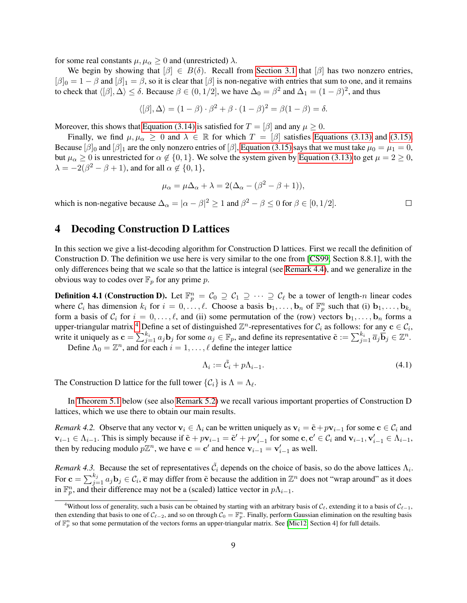for some real constants  $\mu, \mu_{\alpha} \geq 0$  and (unrestricted)  $\lambda$ .

We begin by showing that  $[\beta] \in B(\delta)$ . Recall from [Section 3.1](#page-4-0) that  $[\beta]$  has two nonzero entries,  $[\beta]_0 = 1 - \beta$  and  $[\beta]_1 = \beta$ , so it is clear that  $[\beta]$  is non-negative with entries that sum to one, and it remains to check that  $\langle [\beta], \Delta \rangle \le \delta$ . Because  $\beta \in (0, 1/2]$ , we have  $\Delta_0 = \beta^2$  and  $\Delta_1 = (1 - \beta)^2$ , and thus

$$
\langle [\beta], \Delta \rangle = (1 - \beta) \cdot \beta^2 + \beta \cdot (1 - \beta)^2 = \beta(1 - \beta) = \delta.
$$

Moreover, this shows that [Equation \(3.14\)](#page-7-2) is satisfied for  $T = [\beta]$  and any  $\mu \ge 0$ .

Finally, we find  $\mu, \mu_{\alpha} \geq 0$  and  $\lambda \in \mathbb{R}$  for which  $T = [\beta]$  satisfies [Equations \(3.13\)](#page-7-3) and [\(3.15\).](#page-7-4) Because  $[\beta]_0$  and  $[\beta]_1$  are the only nonzero entries of  $[\beta]$ , [Equation \(3.15\)](#page-7-4) says that we must take  $\mu_0 = \mu_1 = 0$ , but  $\mu_{\alpha} \geq 0$  is unrestricted for  $\alpha \notin \{0, 1\}$ . We solve the system given by [Equation \(3.13\)](#page-7-3) to get  $\mu = 2 \geq 0$ ,  $\lambda = -2(\beta^2 - \beta + 1)$ , and for all  $\alpha \notin \{0, 1\}$ ,

$$
\mu_{\alpha} = \mu \Delta_{\alpha} + \lambda = 2(\Delta_{\alpha} - (\beta^2 - \beta + 1)),
$$

which is non-negative because  $\Delta_{\alpha} = |\alpha - \beta|^2 \ge 1$  and  $\beta^2 - \beta \le 0$  for  $\beta \in [0, 1/2]$ .  $\Box$ 

### <span id="page-8-0"></span>4 Decoding Construction D Lattices

In this section we give a list-decoding algorithm for Construction D lattices. First we recall the definition of Construction D. The definition we use here is very similar to the one from [\[CS99,](#page-12-4) Section 8.8.1], with the only differences being that we scale so that the lattice is integral (see [Remark 4.4\)](#page-9-0), and we generalize in the obvious way to codes over  $\mathbb{F}_p$  for any prime p.

<span id="page-8-3"></span>**Definition 4.1 (Construction D).** Let  $\mathbb{F}_p^n = C_0 \supseteq C_1 \supseteq \cdots \supseteq C_\ell$  be a tower of length-n linear codes where  $\mathcal{C}_i$  has dimension  $k_i$  for  $i = 0, \ldots, \ell$ . Choose a basis  $\mathbf{b}_1, \ldots, \mathbf{b}_n$  of  $\mathbb{F}_p^n$  such that (i)  $\mathbf{b}_1, \ldots, \mathbf{b}_{k_i}$ form a basis of  $C_i$  for  $i = 0, \ldots, \ell$ , and (ii) some permutation of the (row) vectors  $\mathbf{b}_1, \ldots, \mathbf{b}_n$  forms a upper-triangular matrix.<sup>[4](#page-8-1)</sup> Define a set of distinguished  $\mathbb{Z}^n$ -representatives for  $\mathcal{C}_i$  as follows: for any  $\mathbf{c} \in \mathcal{C}_i$ , write it uniquely as  $\mathbf{c} = \sum_{j=1}^{k_i} a_j \mathbf{b}_j$  for some  $a_j \in \mathbb{F}_p$ , and define its representative  $\tilde{\mathbf{c}} := \sum_{j=1}^{k_i} \overline{a}_j \overline{\mathbf{b}}_j \in \mathbb{Z}^n$ .

Define  $\Lambda_0 = \mathbb{Z}^n$ , and for each  $i = 1, \ldots, \ell$  define the integer lattice

<span id="page-8-2"></span>
$$
\Lambda_i := \tilde{C}_i + p\Lambda_{i-1}.\tag{4.1}
$$

The Construction D lattice for the full tower  $\{\mathcal{C}_i\}$  is  $\Lambda = \Lambda_{\ell}$ .

In [Theorem 5.1](#page-10-1) below (see also [Remark 5.2\)](#page-11-1) we recall various important properties of Construction D lattices, which we use there to obtain our main results.

<span id="page-8-4"></span>*Remark 4.2.* Observe that any vector  $v_i \in \Lambda_i$  can be written uniquely as  $v_i = \tilde{c} + p v_{i-1}$  for some  $c \in C_i$  and  $v_{i-1} \in \Lambda_{i-1}$ . This is simply because if  $\tilde{\mathbf{c}} + p\mathbf{v}_{i-1} = \tilde{\mathbf{c}}' + p\mathbf{v}_{i-1}'$  for some  $\mathbf{c}, \mathbf{c}' \in \mathcal{C}_i$  and  $\mathbf{v}_{i-1}, \mathbf{v}_{i-1}' \in \Lambda_{i-1}$ , then by reducing modulo  $p\mathbb{Z}^n$ , we have  $\mathbf{c} = \mathbf{c}'$  and hence  $\mathbf{v}_{i-1} = \mathbf{v}'_{i-1}$  as well.

*Remark 4.3.* Because the set of representatives  $\tilde{C}_i$  depends on the choice of basis, so do the above lattices  $\Lambda_i$ . For  $\mathbf{c} = \sum_{j=1}^{k_j} a_j \mathbf{b}_j \in C_i$ ,  $\overline{\mathbf{c}}$  may differ from  $\tilde{\mathbf{c}}$  because the addition in  $\mathbb{Z}^n$  does not "wrap around" as it does in  $\mathbb{F}_p^n$ , and their difference may not be a (scaled) lattice vector in  $p\Lambda_{i-1}$ .

<span id="page-8-1"></span><sup>&</sup>lt;sup>4</sup>Without loss of generality, such a basis can be obtained by starting with an arbitrary basis of  $C_\ell$ , extending it to a basis of  $C_{\ell-1}$ , then extending that basis to one of  $\mathcal{C}_{\ell-2}$ , and so on through  $\mathcal{C}_0 = \mathbb{F}_p^n$ . Finally, perform Gaussian elimination on the resulting basis of  $\mathbb{F}_p^n$  so that some permutation of the vectors forms an upper-triangular matrix. See [\[Mic12,](#page-13-4) Section 4] for full details.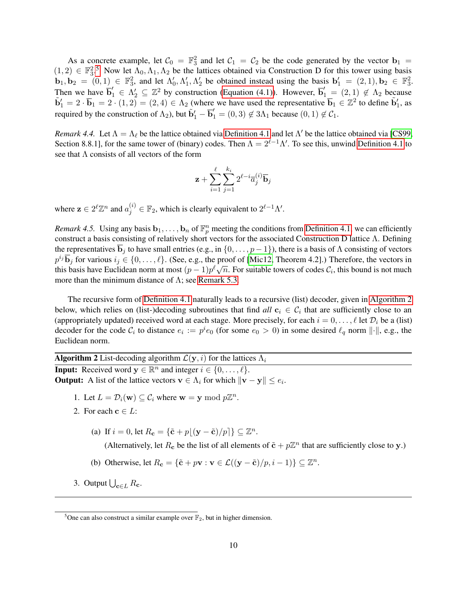As a concrete example, let  $C_0 = \mathbb{F}_3^2$  and let  $C_1 = C_2$  be the code generated by the vector  $\mathbf{b}_1 =$  $(1, 2) \in \mathbb{F}_3^2$ .<sup>[5](#page-9-1)</sup> Now let  $\Lambda_0, \Lambda_1, \Lambda_2$  be the lattices obtained via Construction D for this tower using basis  $\mathbf{b}_1, \mathbf{b}_2 = (0, 1) \in \mathbb{F}_3^2$ , and let  $\Lambda'_0, \Lambda'_1, \Lambda'_2$  be obtained instead using the basis  $\mathbf{b}'_1 = (2, 1), \mathbf{b}_2 \in \mathbb{F}_3^2$ . Then we have  $\overline{b}'_1 \in \Lambda'_2 \subseteq \mathbb{Z}^2$  by construction [\(Equation \(4.1\)\)](#page-8-2). However,  $\overline{b}'_1 = (2,1) \notin \Lambda_2$  because  $\tilde{\mathbf{b}}_1' = 2 \cdot \overline{\mathbf{b}}_1 = 2 \cdot (1, 2) = (2, 4) \in \Lambda_2$  (where we have used the representative  $\overline{\mathbf{b}}_1 \in \mathbb{Z}^2$  to define  $\tilde{\mathbf{b}}'_1$ , as required by the construction of  $\Lambda_2$ ), but  $\tilde{b}'_1 - \overline{b}'_1 = (0, 3) \notin 3\Lambda_1$  because  $(0, 1) \notin C_1$ .

<span id="page-9-0"></span>*Remark 4.4.* Let  $\Lambda = \Lambda_{\ell}$  be the lattice obtained via [Definition 4.1](#page-8-3) and let  $\Lambda'$  be the lattice obtained via [\[CS99,](#page-12-4) Section 8.8.1], for the same tower of (binary) codes. Then  $\Lambda = 2^{\ell-1}\Lambda'$ . To see this, unwind [Definition 4.1](#page-8-3) to see that  $\Lambda$  consists of all vectors of the form

$$
\mathbf{z}+\sum_{i=1}^{\ell}\sum_{j=1}^{k_i}2^{\ell-i}\overline{a}_j^{(i)}\overline{\mathbf{b}}_j
$$

where  $\mathbf{z} \in 2^{\ell} \mathbb{Z}^n$  and  $a_j^{(i)} \in \mathbb{F}_2$ , which is clearly equivalent to  $2^{\ell-1} \Lambda'$ .

<span id="page-9-3"></span>*Remark 4.5.* Using any basis  $\mathbf{b}_1, \ldots, \mathbf{b}_n$  of  $\mathbb{F}_p^n$  meeting the conditions from [Definition 4.1,](#page-8-3) we can efficiently construct a basis consisting of relatively short vectors for the associated Construction D lattice Λ. Defining the representatives  $\overline{\mathbf{b}}_j$  to have small entries (e.g., in  $\{0, \ldots, p-1\}$ ), there is a basis of  $\Lambda$  consisting of vectors  $p^{i_j}$  $\overline{\mathbf{b}}_j$  for various  $i_j \in \{0, \ldots, \ell\}$ . (See, e.g., the proof of [\[Mic12,](#page-13-4) Theorem 4.2].) Therefore, the vectors in  $p^3$ , b<sub>1</sub> colors  $i_j \in \{0, \ldots, \ell\}$ . (See, e.g., the proof of [WIET2, Theorem 4.2].) Therefore, the vectors in this basis have Euclidean norm at most  $(p-1)p^{\ell}\sqrt{n}$ . For suitable towers of codes  $C_i$ , this bound is not m more than the minimum distance of  $\Lambda$ ; see [Remark 5.3.](#page-11-0)

The recursive form of [Definition 4.1](#page-8-3) naturally leads to a recursive (list) decoder, given in [Algorithm 2](#page-9-2) below, which relies on (list-)decoding subroutines that find  $all \ c_i \ \in \ C_i$  that are sufficiently close to an (appropriately updated) received word at each stage. More precisely, for each  $i = 0, \ldots, \ell$  let  $\mathcal{D}_i$  be a (list) decoder for the code  $C_i$  to distance  $e_i := p^i e_0$  (for some  $e_0 > 0$ ) in some desired  $\ell_q$  norm  $\|\cdot\|$ , e.g., the Euclidean norm.

<span id="page-9-2"></span>**Algorithm 2** List-decoding algorithm  $\mathcal{L}(\mathbf{y}, i)$  for the lattices  $\Lambda_i$ **Input:** Received word  $y \in \mathbb{R}^n$  and integer  $i \in \{0, \ldots, \ell\}$ . **Output:** A list of the lattice vectors  $\mathbf{v} \in \Lambda_i$  for which  $\|\mathbf{v} - \mathbf{y}\| \le e_i$ .

- 1. Let  $L = \mathcal{D}_i(\mathbf{w}) \subseteq \mathcal{C}_i$  where  $\mathbf{w} = \mathbf{y} \mod p\mathbb{Z}^n$ .
- 2. For each  $c \in L$ :
	- (a) If  $i = 0$ , let  $R_{\mathbf{c}} = {\{\tilde{\mathbf{c}} + p(\mathbf{y} \tilde{\mathbf{c}})/p\}} \subseteq \mathbb{Z}^n$ .

(Alternatively, let  $R_c$  be the list of all elements of  $\tilde{\mathbf{c}} + p\mathbb{Z}^n$  that are sufficiently close to y.)

- (b) Otherwise, let  $R_{\mathbf{c}} = {\tilde{\mathbf{c}} + p\mathbf{v} : \mathbf{v} \in \mathcal{L}((\mathbf{y} \tilde{\mathbf{c}})/p, i 1)} \subseteq \mathbb{Z}^n$ .
- 3. Output  $\bigcup_{\mathbf{c}\in L}R_{\mathbf{c}}$ .

<span id="page-9-4"></span><span id="page-9-1"></span><sup>&</sup>lt;sup>5</sup>One can also construct a similar example over  $\mathbb{F}_2$ , but in higher dimension.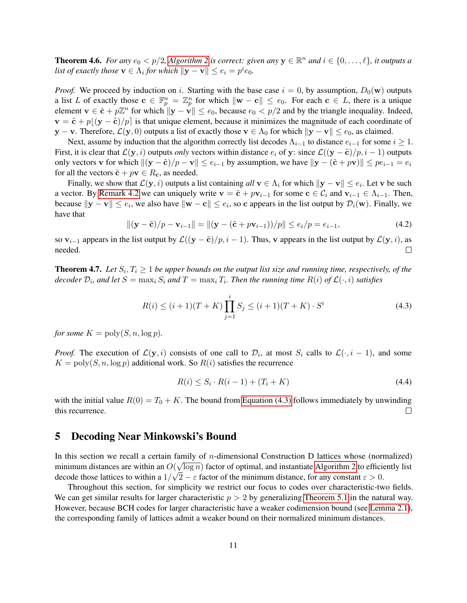**Theorem 4.6.** For any  $e_0 < p/2$ , [Algorithm 2](#page-9-2) is correct: given any  $y \in \mathbb{R}^n$  and  $i \in \{0, \ldots, \ell\}$ , it outputs a *list of exactly those*  $\mathbf{v} \in \Lambda_i$  *for which*  $\|\mathbf{y} - \mathbf{v}\| \le e_i = p^i e_0$ *.* 

*Proof.* We proceed by induction on i. Starting with the base case  $i = 0$ , by assumption,  $D_0(\mathbf{w})$  outputs a list L of exactly those  $\mathbf{c} \in \mathbb{F}_p^n = \mathbb{Z}_p^n$  for which  $\|\mathbf{w} - \mathbf{c}\| \leq e_0$ . For each  $\mathbf{c} \in L$ , there is a unique element  $\mathbf{v} \in \tilde{\mathbf{c}} + p\mathbb{Z}^n$  for which  $\|\mathbf{y} - \mathbf{v}\| \leq e_0$ , because  $e_0 < p/2$  and by the triangle inequality. Indeed,  $\mathbf{v} = \tilde{\mathbf{c}} + p\|\mathbf{y} - \tilde{\mathbf{c}}\|/p\|$  is that unique element, because it minimizes the magnitude of each coordinate of y − v. Therefore,  $\mathcal{L}(\mathbf{y},0)$  outputs a list of exactly those  $\mathbf{v} \in \Lambda_0$  for which  $\|\mathbf{y} - \mathbf{v}\| \leq e_0$ , as claimed.

Next, assume by induction that the algorithm correctly list decodes  $\Lambda_{i-1}$  to distance  $e_{i-1}$  for some  $i \geq 1$ . First, it is clear that  $\mathcal{L}(\mathbf{y}, i)$  outputs *only* vectors within distance  $e_i$  of y: since  $\mathcal{L}((\mathbf{y} - \tilde{\mathbf{c}})/p, i - 1)$  outputs only vectors v for which  $\|(y - \tilde{c})/p - v\| \le e_{i-1}$  by assumption, we have  $\|y - (\tilde{c} + pv)\| \le pe_{i-1} = e_i$ for all the vectors  $\tilde{\mathbf{c}} + p\mathbf{v} \in R_{\mathbf{c}}$ , as needed.

Finally, we show that  $\mathcal{L}(\mathbf{y}, i)$  outputs a list containing  $all \mathbf{v} \in \Lambda_i$  for which  $\|\mathbf{y} - \mathbf{v}\| \le e_i$ . Let  $\mathbf{v}$  be such a vector. By [Remark 4.2](#page-8-4) we can uniquely write  $\mathbf{v} = \tilde{\mathbf{c}} + p\mathbf{v}_{i-1}$  for some  $\mathbf{c} \in C_i$  and  $\mathbf{v}_{i-1} \in \Lambda_{i-1}$ . Then, because  $\|\mathbf{y} - \mathbf{v}\| \le e_i$ , we also have  $\|\mathbf{w} - \mathbf{c}\| \le e_i$ , so c appears in the list output by  $\mathcal{D}_i(\mathbf{w})$ . Finally, we have that

$$
\|(\mathbf{y} - \tilde{\mathbf{c}})/p - \mathbf{v}_{i-1}\| = \|(\mathbf{y} - (\tilde{\mathbf{c}} + p\mathbf{v}_{i-1}))/p\| \le e_i/p = e_{i-1},\tag{4.2}
$$

so  $v_{i-1}$  appears in the list output by  $\mathcal{L}((y - \tilde{c})/p, i - 1)$ . Thus, v appears in the list output by  $\mathcal{L}(y, i)$ , as needed.  $\Box$ 

<span id="page-10-3"></span>**Theorem 4.7.** Let  $S_i, T_i \geq 1$  be upper bounds on the output list size and running time, respectively, of the decoder  $\mathcal{D}_i$ , and let  $S = \max_i S_i$  and  $T = \max_i T_i$ . Then the running time  $R(i)$  of  $\mathcal{L}(\cdot, i)$  satisfies

<span id="page-10-2"></span>
$$
R(i) \le (i+1)(T+K) \prod_{j=1}^{i} S_j \le (i+1)(T+K) \cdot S^i
$$
\n(4.3)

*for some*  $K = \text{poly}(S, n, \log p)$ *.* 

*Proof.* The execution of  $\mathcal{L}(\mathbf{y}, i)$  consists of one call to  $\mathcal{D}_i$ , at most  $S_i$  calls to  $\mathcal{L}(\cdot, i-1)$ , and some  $K = \text{poly}(S, n, \log p)$  additional work. So  $R(i)$  satisfies the recurrence

$$
R(i) \le S_i \cdot R(i-1) + (T_i + K) \tag{4.4}
$$

with the initial value  $R(0) = T_0 + K$ . The bound from [Equation \(4.3\)](#page-10-2) follows immediately by unwinding this recurrence.  $\Box$ 

## <span id="page-10-0"></span>5 Decoding Near Minkowski's Bound

In this section we recall a certain family of *n*-dimensional Construction D lattices whose (normalized) minimum distances are within an  $O(\sqrt{\log n})$  factor of optimal, and instantiate [Algorithm 2](#page-9-2) to efficiently list decode those lattices to within a  $1/\sqrt{2} - \varepsilon$  factor of the minimum distance, for any constant  $\varepsilon > 0$ .

<span id="page-10-1"></span>Throughout this section, for simplicity we restrict our focus to codes over characteristic-two fields. We can get similar results for larger characteristic  $p > 2$  by generalizing [Theorem 5.1](#page-10-1) in the natural way. However, because BCH codes for larger characteristic have a weaker codimension bound (see [Lemma 2.1\)](#page-3-1), the corresponding family of lattices admit a weaker bound on their normalized minimum distances.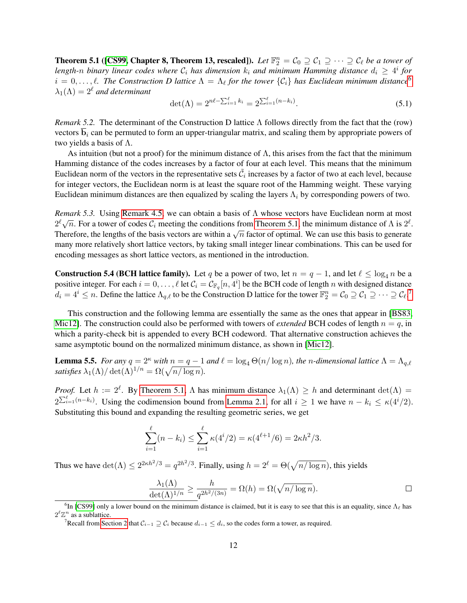**Theorem 5.1 ([\[CS99,](#page-12-4) Chapter 8, Theorem 13, rescaled]).** Let  $\mathbb{F}_2^n = \mathcal{C}_0 \supseteq \mathcal{C}_1 \supseteq \cdots \supseteq \mathcal{C}_\ell$  be a tower of length-n binary linear codes where  $\mathcal{C}_i$  has dimension  $k_i$  and minimum Hamming distance  $d_i \geq 4^i$  for  $i = 0, \ldots, \ell$ . The Construction D lattice  $\Lambda = \Lambda_{\ell}$  for the tower  $\{\mathcal{C}_i\}$  has Euclidean minimum distance<sup>[6](#page-11-2)</sup>  $\lambda_1(\Lambda) = 2^{\ell}$  *and determinant* 

$$
\det(\Lambda) = 2^{n\ell - \sum_{i=1}^{\ell} k_i} = 2^{\sum_{i=1}^{\ell} (n-k_i)}.
$$
\n(5.1)

<span id="page-11-1"></span>*Remark 5.2.* The determinant of the Construction D lattice Λ follows directly from the fact that the (row) vectors  $\overline{b}_i$  can be permuted to form an upper-triangular matrix, and scaling them by appropriate powers of two yields a basis of Λ.

As intuition (but not a proof) for the minimum distance of  $\Lambda$ , this arises from the fact that the minimum Hamming distance of the codes increases by a factor of four at each level. This means that the minimum Euclidean norm of the vectors in the representative sets  $\tilde{C}_i$  increases by a factor of two at each level, because for integer vectors, the Euclidean norm is at least the square root of the Hamming weight. These varying Euclidean minimum distances are then equalized by scaling the layers  $\Lambda_i$  by corresponding powers of two.

<span id="page-11-0"></span>*Remark 5.3.* Using [Remark 4.5,](#page-9-3) we can obtain a basis of Λ whose vectors have Euclidean norm at most  $2^{\ell}\sqrt{n}$ . For a tower of codes  $C_i$  meeting the conditions from [Theorem 5.1,](#page-10-1) the minimum distance of  $\Lambda$  is  $2^{\ell}$ .  $\frac{2}{\sqrt{n}}$ . For a tower of codes  $c_i$  ineering the conditions from Theorem 5.1, the imminium distance of A is  $\frac{2}{\sqrt{n}}$ .<br>Therefore, the lengths of the basis vectors are within a  $\sqrt{n}$  factor of optimal. We can use thi many more relatively short lattice vectors, by taking small integer linear combinations. This can be used for encoding messages as short lattice vectors, as mentioned in the introduction.

<span id="page-11-4"></span>**Construction 5.4 (BCH lattice family).** Let q be a power of two, let  $n = q - 1$ , and let  $\ell \le \log_4 n$  be a positive integer. For each  $i = 0, \ldots, \ell$  let  $C_i = C_{\mathbb{F}_q}[n, 4^i]$  be the BCH code of length n with designed distance  $d_i = 4^i \le n$ . Define the lattice  $\Lambda_{q,\ell}$  to be the Construction D lattice for the tower  $\mathbb{F}_2^n = \mathcal{C}_0 \supseteq \mathcal{C}_1 \supseteq \cdots \supseteq \mathcal{C}_{\ell}$ .

This construction and the following lemma are essentially the same as the ones that appear in [\[BS83,](#page-12-7) [Mic12\]](#page-13-4). The construction could also be performed with towers of *extended* BCH codes of length  $n = q$ , in which a parity-check bit is appended to every BCH codeword. That alternative construction achieves the same asymptotic bound on the normalized minimum distance, as shown in [\[Mic12\]](#page-13-4).

<span id="page-11-5"></span>**Lemma 5.5.** *For any*  $q = 2^k$  *with*  $n = q - 1$  *and*  $\ell = \log_4 \Theta(n / \log n)$ *, the n*-dimensional lattice  $\Lambda = \Lambda_{q,\ell}$ *satisfies*  $\lambda_1(\Lambda) / \det(\Lambda)^{1/n} = \Omega(\sqrt{n/\log n}).$ 

*Proof.* Let  $h := 2^{\ell}$ . By [Theorem 5.1,](#page-10-1)  $\Lambda$  has minimum distance  $\lambda_1(\Lambda) \geq h$  and determinant  $\det(\Lambda) =$  $2^{\sum_{i=1}^{\ell} (n-k_i)}$ . Using the codimension bound from [Lemma 2.1,](#page-3-1) for all  $i \ge 1$  we have  $n - k_i \le \kappa(4^i/2)$ . Substituting this bound and expanding the resulting geometric series, we get

$$
\sum_{i=1}^{\ell} (n - k_i) \le \sum_{i=1}^{\ell} \kappa(4^i/2) = \kappa(4^{\ell+1}/6) = 2\kappa h^2/3.
$$

Thus we have  $\det(\Lambda) \leq 2^{2\kappa h^2/3} = q^{2h^2/3}$ . Finally, using  $h = 2^{\ell} = \Theta(\sqrt{n/\log n})$ , this yields

$$
\frac{\lambda_1(\Lambda)}{\det(\Lambda)^{1/n}} \ge \frac{h}{q^{2h^2/(3n)}} = \Omega(h) = \Omega(\sqrt{n/\log n}).
$$

<span id="page-11-2"></span><sup>&</sup>lt;sup>6</sup>In [\[CS99\]](#page-12-4) only a lower bound on the minimum distance is claimed, but it is easy to see that this is an equality, since  $\Lambda_\ell$  has  $2^{\ell} \mathbb{Z}^n$  as a sublattice.

<span id="page-11-3"></span><sup>&</sup>lt;sup>7</sup>Recall from [Section 2](#page-2-0) that  $C_{i-1}$  ⊇  $C_i$  because  $d_{i-1}$  ≤  $d_i$ , so the codes form a tower, as required.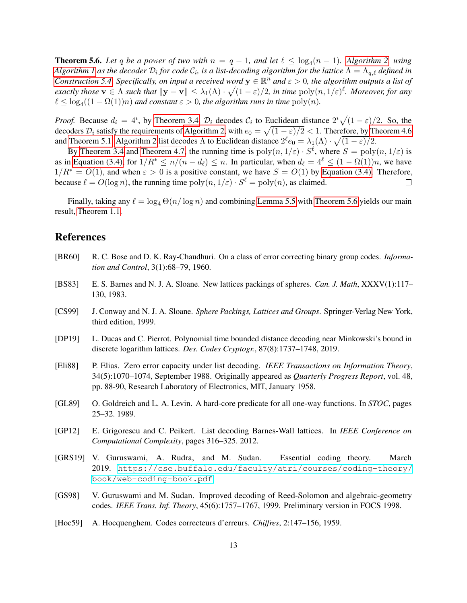<span id="page-12-10"></span>**Theorem 5.6.** Let q be a power of two with  $n = q - 1$ , and let  $\ell \leq \log_4(n - 1)$ . [Algorithm 2,](#page-9-2) using  $A$ lgorithm  $I$  as the decoder  $\mathcal{D}_i$  for code  $\mathcal{C}_i$ , is a list-decoding algorithm for the lattice  $\Lambda=\Lambda_{q,\ell}$  defined in *[Construction 5.4.](#page-11-4) Specifically, on input a received word*  $y \in \mathbb{R}^n$  *and*  $\varepsilon > 0$ , *the algorithm outputs a list of exactly those*  $\mathbf{v} \in \Lambda$  *such that*  $\|\mathbf{y} - \mathbf{v}\| \leq \lambda_1(\Lambda) \cdot \sqrt{(1 - \varepsilon)/2}$ , in time  $\text{poly}(n, 1/\varepsilon)^{\ell}$ . Moreover, for any  $\ell \leq \log_4((1 - \Omega(1))n)$  and constant  $\varepsilon > 0$ , the algorithm runs in time  $\text{poly}(n)$ .

*Proof.* Because  $d_i = 4^i$ , by [Theorem 3.4,](#page-6-2)  $\mathcal{D}_i$  decodes  $\mathcal{C}_i$  to Euclidean distance  $2^i \sqrt{(1 - \varepsilon)/2}$ . So, the decoders  $\mathcal{D}_i$  satisfy the requirements of [Algorithm 2,](#page-9-2) with  $e_0 = \sqrt{(1-\varepsilon)/2} < 1$ . Therefore, by [Theorem 4.6](#page-9-4) and [Theorem 5.1,](#page-10-1) [Algorithm 2](#page-9-2) list decodes  $\Lambda$  to Euclidean distance  $2^{\ell}e_0 = \lambda_1(\Lambda) \cdot \sqrt{(1-\varepsilon)/2}$ .

By [Theorem 3.4](#page-6-2) and [Theorem 4.7,](#page-10-3) the running time is  $poly(n, 1/\varepsilon) \cdot S^\ell$ , where  $S = poly(n, 1/\varepsilon)$  is as in [Equation \(3.4\),](#page-5-4) for  $1/R^* \le n/(n - d_\ell) \le n$ . In particular, when  $d_\ell = 4^\ell \le (1 - \Omega(1))n$ , we have  $1/R^* = O(1)$ , and when  $\varepsilon > 0$  is a positive constant, we have  $S = O(1)$  by [Equation \(3.4\).](#page-5-4) Therefore, because  $\ell = O(\log n)$ , the running time  $\text{poly}(n, 1/\varepsilon) \cdot S^{\ell} = \text{poly}(n)$ , as claimed.  $\Box$ 

Finally, taking any  $\ell = \log_4 \Theta(n / \log n)$  and combining [Lemma 5.5](#page-11-5) with [Theorem 5.6](#page-12-10) yields our main result, [Theorem 1.1.](#page-1-0)

# References

- <span id="page-12-8"></span>[BR60] R. C. Bose and D. K. Ray-Chaudhuri. On a class of error correcting binary group codes. *Information and Control*, 3(1):68–79, 1960.
- <span id="page-12-7"></span>[BS83] E. S. Barnes and N. J. A. Sloane. New lattices packings of spheres. *Can. J. Math*, XXXV(1):117– 130, 1983.
- <span id="page-12-4"></span>[CS99] J. Conway and N. J. A. Sloane. *Sphere Packings, Lattices and Groups*. Springer-Verlag New York, third edition, 1999.
- <span id="page-12-6"></span>[DP19] L. Ducas and C. Pierrot. Polynomial time bounded distance decoding near Minkowski's bound in discrete logarithm lattices. *Des. Codes Cryptogr.*, 87(8):1737–1748, 2019.
- <span id="page-12-1"></span>[Eli88] P. Elias. Zero error capacity under list decoding. *IEEE Transactions on Information Theory*, 34(5):1070–1074, September 1988. Originally appeared as *Quarterly Progress Report*, vol. 48, pp. 88-90, Research Laboratory of Electronics, MIT, January 1958.
- <span id="page-12-2"></span>[GL89] O. Goldreich and L. A. Levin. A hard-core predicate for all one-way functions. In *STOC*, pages 25–32. 1989.
- <span id="page-12-5"></span>[GP12] E. Grigorescu and C. Peikert. List decoding Barnes-Wall lattices. In *IEEE Conference on Computational Complexity*, pages 316–325. 2012.
- <span id="page-12-0"></span>[GRS19] V. Guruswami, A. Rudra, and M. Sudan. Essential coding theory. March 2019. [https://cse.buffalo.edu/faculty/atri/courses/coding-theory/](https://cse.buffalo.edu/faculty/atri/courses/coding-theory/book/web-coding-book.pdf) [book/web-coding-book.pdf](https://cse.buffalo.edu/faculty/atri/courses/coding-theory/book/web-coding-book.pdf).
- <span id="page-12-3"></span>[GS98] V. Guruswami and M. Sudan. Improved decoding of Reed-Solomon and algebraic-geometry codes. *IEEE Trans. Inf. Theory*, 45(6):1757–1767, 1999. Preliminary version in FOCS 1998.
- <span id="page-12-9"></span>[Hoc59] A. Hocquenghem. Codes correcteurs d'erreurs. *Chiffres*, 2:147–156, 1959.